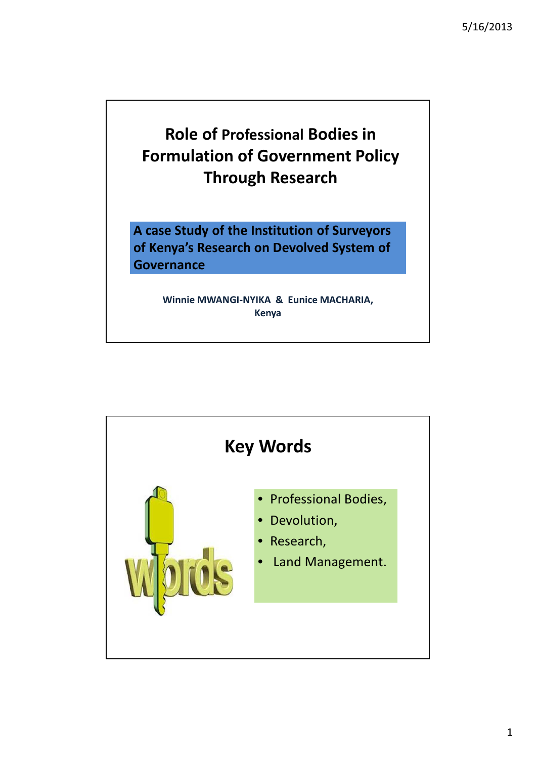# Role of Professional Bodies in Formulation of Government Policy Through Research

A case Study of the Institution of Surveyors of Kenya's Research on Devolved System of **Governance** 

> Winnie MWANGI-NYIKA & Eunice MACHARIA, Kenya

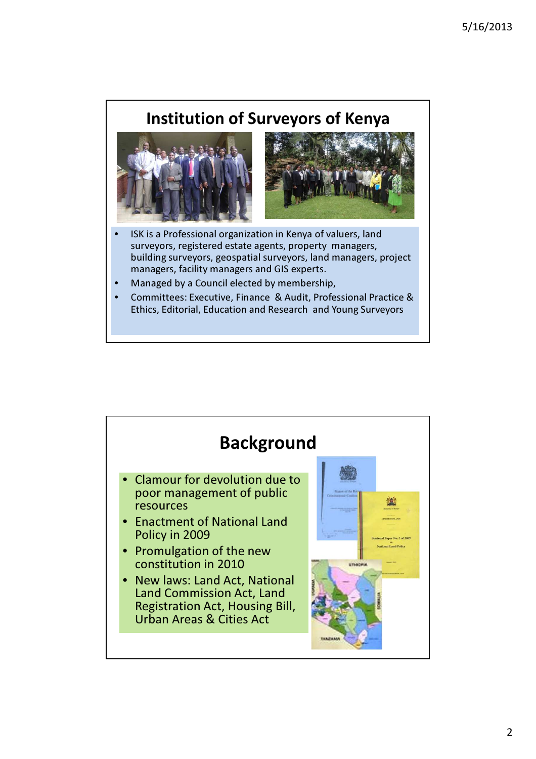### Institution of Surveyors of Kenya



- ISK is a Professional organization in Kenya of valuers, land surveyors, registered estate agents, property managers, building surveyors, geospatial surveyors, land managers, project managers, facility managers and GIS experts.
- Managed by a Council elected by membership,
- Committees: Executive, Finance & Audit, Professional Practice & Ethics, Editorial, Education and Research and Young Surveyors

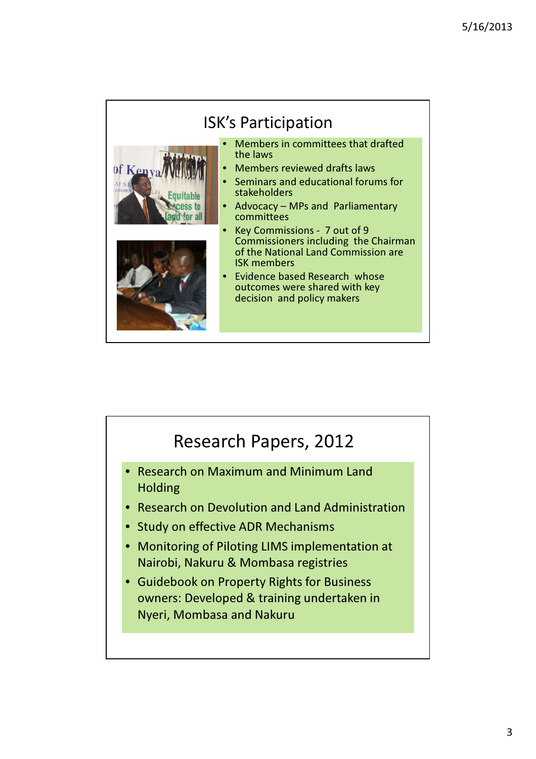

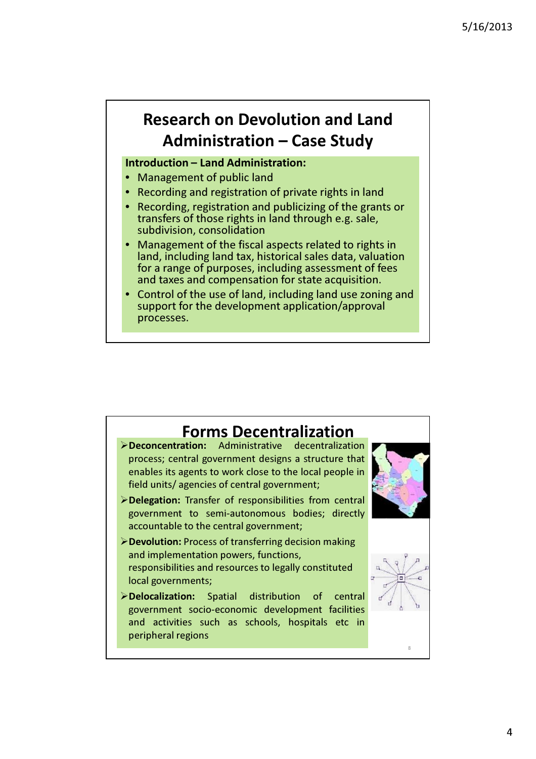## Research on Devolution and Land Administration – Case Study

#### Introduction – Land Administration:

- Management of public land
- Recording and registration of private rights in land
- Recording, registration and publicizing of the grants or transfers of those rights in land through e.g. sale, subdivision, consolidation
- Management of the fiscal aspects related to rights in land, including land tax, historical sales data, valuation for a range of purposes, including assessment of fees and taxes and compensation for state acquisition.
- Control of the use of land, including land use zoning and support for the development application/approval processes.

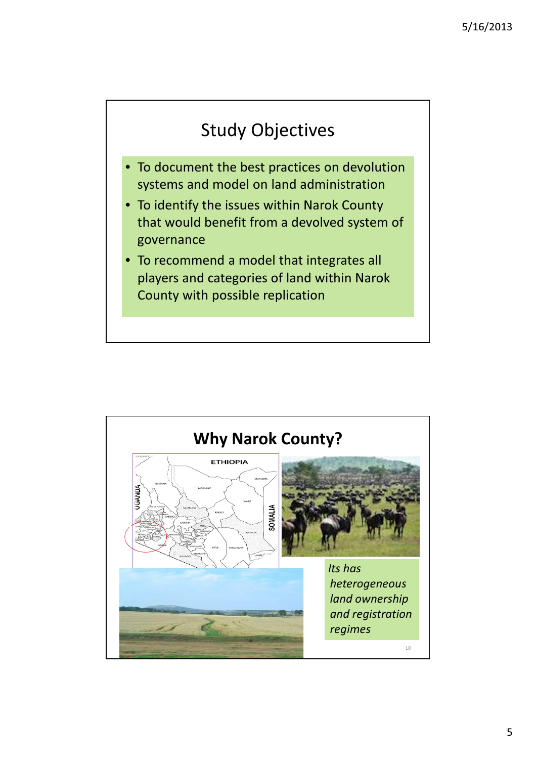# Study Objectives

- To document the best practices on devolution systems and model on land administration
- To identify the issues within Narok County that would benefit from a devolved system of governance
- To recommend a model that integrates all players and categories of land within Narok County with possible replication

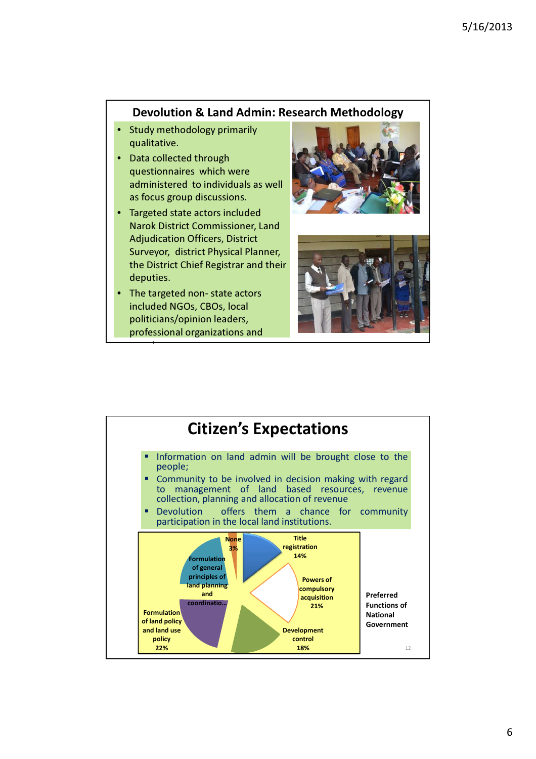#### Devolution & Land Admin: Research Methodology

- Study methodology primarily qualitative.
- Data collected through questionnaires which were administered to individuals as well as focus group discussions.
- Targeted state actors included Narok District Commissioner, Land Adjudication Officers, District Surveyor, district Physical Planner, the District Chief Registrar and their deputies.
- The targeted non- state actors included NGOs, CBOs, local politicians/opinion leaders, professional organizations and

members





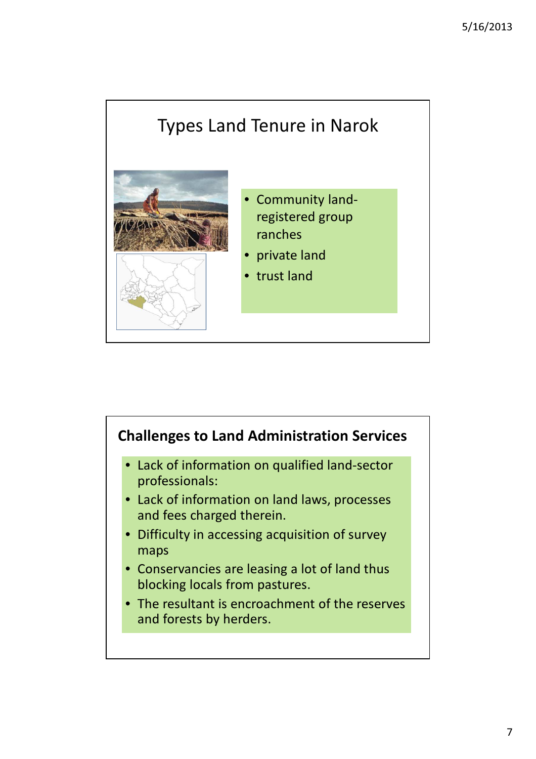

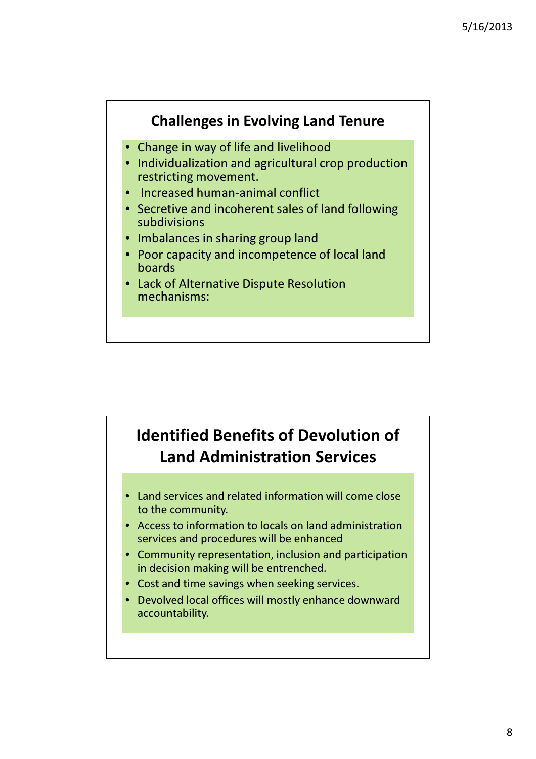

- Change in way of life and livelihood
- Individualization and agricultural crop production restricting movement.
- Increased human-animal conflict
- Secretive and incoherent sales of land following subdivisions
- Imbalances in sharing group land
- Poor capacity and incompetence of local land boards
- Lack of Alternative Dispute Resolution mechanisms:

## Identified Benefits of Devolution of Land Administration Services

- Land services and related information will come close to the community.
- Access to information to locals on land administration services and procedures will be enhanced
- Community representation, inclusion and participation in decision making will be entrenched.
- Cost and time savings when seeking services.
- Devolved local offices will mostly enhance downward accountability.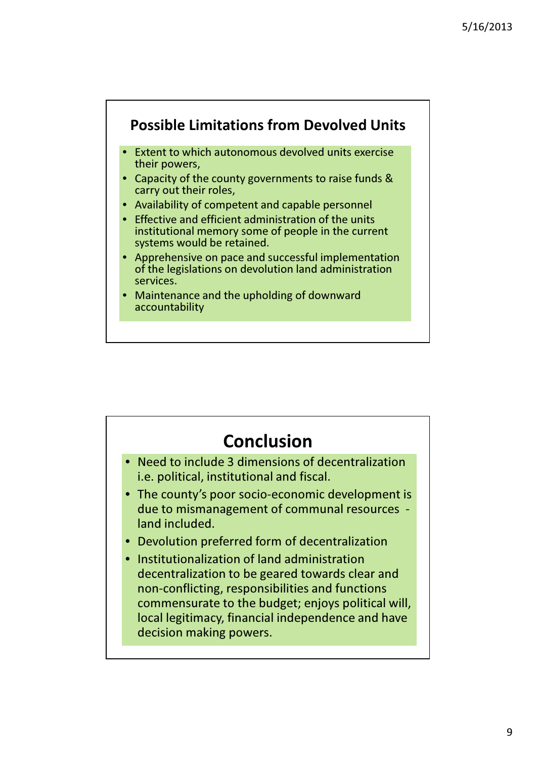

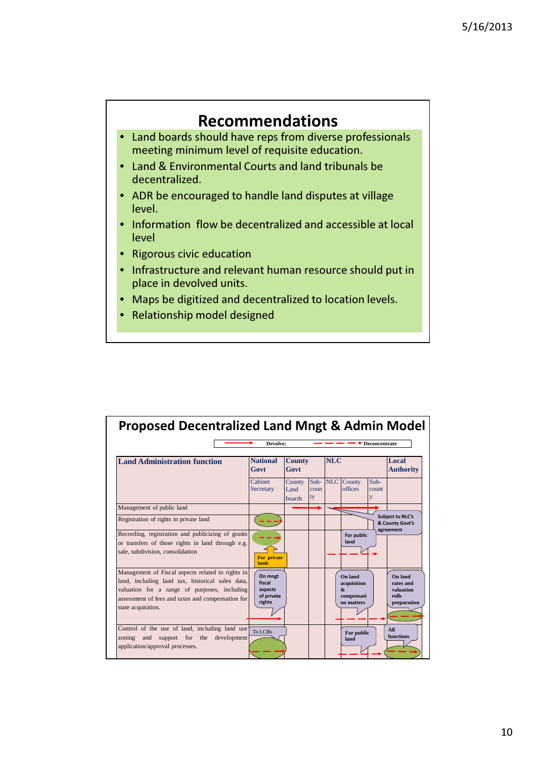

| <b>Proposed Decentralized Land Mngt &amp; Admin Model</b>                                                                                                                                                                        |                                                      |                                 |                      |            |                                                                                  |               |                                                           |
|----------------------------------------------------------------------------------------------------------------------------------------------------------------------------------------------------------------------------------|------------------------------------------------------|---------------------------------|----------------------|------------|----------------------------------------------------------------------------------|---------------|-----------------------------------------------------------|
| Devolve:<br>Deconcentrate                                                                                                                                                                                                        |                                                      |                                 |                      |            |                                                                                  |               |                                                           |
| <b>Land Administration function</b>                                                                                                                                                                                              | <b>National</b><br>Govt                              | <b>County</b><br>Govt           |                      | <b>NLC</b> |                                                                                  |               | Local<br><b>Authority</b>                                 |
|                                                                                                                                                                                                                                  | Cabinet<br>Secretary                                 | County<br>Land<br><b>boards</b> | $Sub-$<br>coun<br>ty |            | <b>NLC</b> County<br>offices                                                     | Sub-<br>count |                                                           |
| Management of public land                                                                                                                                                                                                        |                                                      |                                 |                      |            |                                                                                  |               |                                                           |
| Registration of rights in private land                                                                                                                                                                                           |                                                      |                                 |                      |            |                                                                                  |               | <b>Subject to NLC's</b><br>& County Govt's<br>agreement   |
| Recording, registration and publicizing of grants<br>or transfers of those rights in land through e.g.<br>sale, subdivision, consolidation                                                                                       | For private<br>lands                                 |                                 |                      |            | For public<br>land                                                               |               |                                                           |
| Management of Fiscal aspects related to rights in<br>land, including land tax, historical sales data,<br>valuation for a range of purposes, including<br>assessment of fees and taxes and compensation for<br>state acquisition. | On mngt<br>fiscal<br>aspects<br>of private<br>rights |                                 |                      |            | On land<br>acquisition<br>$\boldsymbol{\mathcal{R}}$<br>compensati<br>on matters |               | On land<br>rates and<br>valuation<br>rolls<br>preparation |
| Control of the use of land, including land use<br>zoning<br>and support for the<br>development<br>application/approval processes.                                                                                                | To LCBs                                              |                                 |                      |            | For public<br>land                                                               |               | All<br>functions                                          |